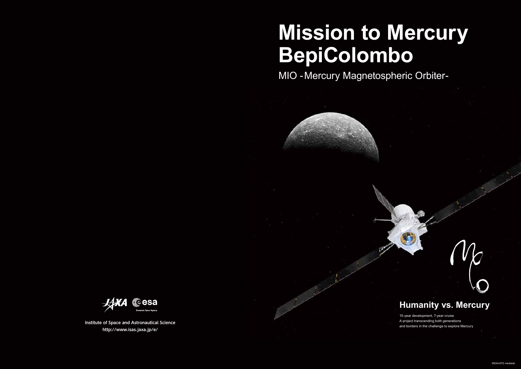**Institute of Space and Astronautical Science http://www.isas.jaxa.jp/e/**



# **Mission to Mercury BepiColombo**

MIO -Mercury Magnetospheric Orbiter-



## **Humanity vs. Mercury**

15-year development, 7-year cruise A project transcending both generations and borders in the challenge to explore Mercury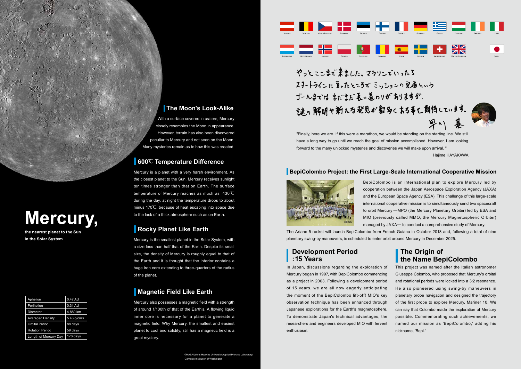#### **BepiColombo Project: the First Large-Scale International Cooperative Mission**

BepiColombo is an international plan to explore Mercury led by cooperation between the Japan Aerospace Exploration Agency (JAXA) and the European Space Agency (ESA). This challenge of this large-scale international cooperative mission is to simultaneously send two spacecraft to orbit Mercury – MPO (the Mercury Planetary Orbiter) led by ESA and MIO (previously called MMO, the Mercury Magnetospheric Orbiter) managed by JAXA̶ to conduct a comprehensive study of Mercury.

In Japan, discussions regarding the exploration of Mercury began in 1997, with BepiColombo commencing as a project in 2003. Following a development period of 15 years, we are all now eagerly anticipating the moment of the BepiColombo lift-off! MIO's key observation technique has been enhanced through Japanese explorations for the Earth's magnetosphere. To demonstrate Japan's technical advantages, the researchers and engineers developed MIO with fervent enthusiasm.



### **600**℃ **Temperature Difference**

Mercury is a planet with a very harsh environment. As the closest planet to the Sun, Mercury receives sunlight ten times stronger than that on Earth. The surface temperature of Mercury reaches as much as 430 ℃ during the day. at night the temperature drops to about minus 170℃, because of heat escaping into space due to the lack of a thick atmosphere such as on Earth.

#### **Rocky Planet Like Earth**

Mercury also possesses a magnetic field with a strength of around 1/100th of that of the Earth's. A flowing liquid inner core is necessary for a planet to generate a magnetic field. Why Mercury, the smallest and easiest planet to cool and solidify, still has a magnetic field is a great mystery.

#### **The Moon's Look-Alike**

With a surface covered in craters, Mercury closely resembles the Moon in appearance. However, terrain has also been discovered peculiar to Mercury and not seen on the Moon. Many mysteries remain as to how this was created.

Mercury is the smallest planet in the Solar System, with a size less than half that of the Earth. Despite its small size, the density of Mercury is roughly equal to that of the Earth and it is thought that the interior contains a huge iron core extending to three-quarters of the radius of the planet.

### **Magnetic Field Like Earth**

This project was named after the Italian astronomer Giuseppe Colombo, who proposed that Mercury's orbital and rotational periods were locked into a 3:2 resonance. He also pioneered using swing-by maneuvers in planetary probe navigation and designed the trajectory of the first probe to explore Mercury, Mariner 10. We can say that Colombo made the exploration of Mercury possible. Commemorating such achievements, we named our mission as 'BepiColombo,' adding his nickname, 'Bepi.'

| Aphelion                | 0.47 AU      |
|-------------------------|--------------|
| Perihelion              | 0.31 AU      |
| <b>Diameter</b>         | 4,880 km     |
| <b>Averaged Density</b> | $5.43$ g/cm3 |
| <b>Orbital Period</b>   | 88 days      |
| <b>Rotation Period</b>  | 59 days      |
| Length of Mercury Day   | 176 days     |

### **The Origin of the Name BepiColombo**

#### **Development Period : 15 Years**



©NASA/Johns Hopkins University Applied Physics Laboratory/ Carnegie Institution of Washington



やっとここまざ来ました。マラソンでいったろ スタートラインに立ったところでミッションの完遂という ゴールまではまだまだ長い道のりがありますが、 「迷っ解明や新たる発見が多めくある手と朝待しています。

# **Mercury,**

**the nearest planet to the Sun in the Solar System**

"Finally, here we are. If this were a marathon, we would be standing on the starting line. We still have a long way to go until we reach the goal of mission accomplished. However, I am looking forward to the many unlocked mysteries and discoveries we will make upon arrival. "

#### Hajime HAYAKAWA

The Ariane 5 rocket will launch BepiColombo from French Guiana in October 2018 and, following a total of nine planetary swing-by maneuvers, is scheduled to enter orbit around Mercury in December 2025.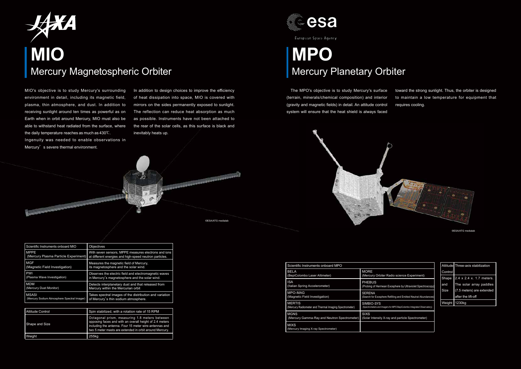| Scientific Instruments onboard MIO          | Objectives                                              |
|---------------------------------------------|---------------------------------------------------------|
| <b>MPPE</b>                                 | With seven sensors, MPPE measures electrons and ions    |
| (Mercury Plasma Particle Experiment)        | at different energies and high-speed neutron particles. |
| <b>MGF</b>                                  | Measures the magnetic field of Mercury.                 |
| (Magnetic Field Investigation)              | its magnetosphere and the solar wind.                   |
| <b>PWI</b>                                  | Observes the electric field and electromagnetic waves   |
| (Plasma Wave Investigation)                 | in Mercury's magnetosphere and the solar wind.          |
| MDM                                         | Detects interplanetary dust and that released from      |
| (Mercury Dust Monitor)                      | Mercury within the Mercurian orbit                      |
| <b>MSASI</b>                                | Takes spectral images of the distribution and variation |
| (Mercury Sodium Atmosphere Spectral Imager) | of Mercury's thin sodium atmosphere.                    |

Ingenuity was needed to enable observations in Mercury's severe thermal environment.

MIO's objective is to study Mercury's surrounding environment in detail, including its magnetic field, plasma, thin atmosphere, and dust. In addition to receiving sunlight around ten times as powerful as on Earth when in orbit around Mercury, MIO must also be able to withstand heat radiated from the surface, where the daily temperature reaches as much as 430℃ .

The MPO's objective is to study Mercury's surface (terrain, minerals/chemical composition) and interior (gravity and magnetic fields) in detail. An attitude control system will ensure that the heat shield is always faced



| Attitude Control | Spin stabilized, with a rotation rate of 15 RPM                                                                                                                                                                               |
|------------------|-------------------------------------------------------------------------------------------------------------------------------------------------------------------------------------------------------------------------------|
| Shape and Size   | Octagonal prism, measuring 1.8 meters between<br>opposing faces and with an overall height of 2.4 meters<br>including the antenna. Four 15 meter wire-antennas and<br>two 5 meter masts are extended in orbit around Mercury. |
| Weight           | 255kg                                                                                                                                                                                                                         |

# **MPO** Mercury Planetary Orbiter



©ESA/ATG medialab

©ESA/ATG medialab

PARAMETERS AND DESCRIPTIONS



European Space Agency

| Scientific Instruments onboard MPO                    |                                  |
|-------------------------------------------------------|----------------------------------|
| <b>BELA</b>                                           | <b>MORE</b>                      |
| (BepiColombo Laser Altimeter)                         | (Mercury Orbiter Radio           |
| <b>ISA</b>                                            | <b>PHEBUS</b>                    |
| (Italian Spring Accelerometer)                        | (Probing of Hermean Exos         |
| MPO-MAG                                               | <b>SERENA</b>                    |
| (Magnetic Field Investigation)                        | (Search for Exosphere Refilli    |
| <b>MERTIS</b>                                         | SIMBIO-SYS                       |
| (Mercury Radiometer and Thermal Imaging Spectrometer) | (Spectrometers and Imagers for M |
| <b>MGNS</b>                                           | <b>SIXS</b>                      |
| (Mercury Gamma-Ray and Neutron Spectrometer)          | (Solar Intensity X-ray ar        |
| <b>MIXS</b><br>(Mercury Imaging X-ray Spectrometer)   |                                  |



In addition to design choices to improve the efficiency of heat dissipation into space, MIO is covered with mirrors on the sides permanently exposed to sunlight. The reflection can reduce heat absorption as much as possible. Instruments have not been attached to the rear of the solar cells, as this surface is black and inevitably heats up.

|         | Attitude Three-axis stabilization |
|---------|-----------------------------------|
| Control |                                   |
| Shape   | 2.4 x 2.4 x, 1.7 meters.          |
| and     | The solar array paddles           |
| Size    | (7.5 meters) are extended         |
|         | after the lift-off                |
| Weight  | 1230kg                            |

toward the strong sunlight. Thus, the orbiter is designed to maintain a low temperature for equipment that requires cooling.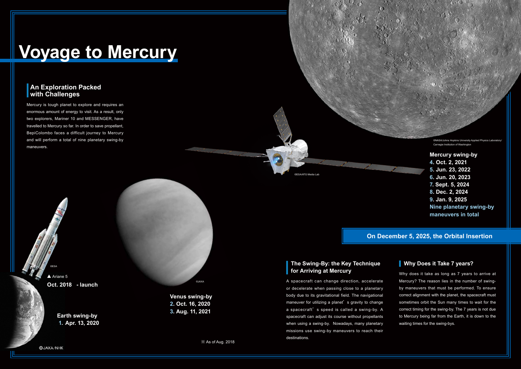#### **On December 5, 2025, the Orbital Insertion**

#### **Why Does it Take 7 years?**

#### **An Exploration Packed with Challenges**

Mercury is tough planet to explore and requires an enormous amount of energy to visit. As a result, only two explorers, Mariner 10 and MESSENGER, have travelled to Mercury so far. In order to save propellant, BepiColombo faces a difficult journey to Mercury and will perform a total of nine planetary swing-by maneuvers.

 **The Swing-By: the Key Technique for Arriving at Mercury**

▲ Ariane 5 **Oct. 2018 - launch**

A spacecraft can change direction, accelerate or decelerate when passing close to a planetary body due to its gravitational field. The navigational maneuver for utilizing a planet's gravity to change a spacecraft's speed is called a swing-by. A spacecraft can adjust its course without propellants when using a swing-by. Nowadays, many planetary missions use swing-by maneuvers to reach their destinations.

©NASA/Johns Hopkins University Applied Physics C Carnegie Institution of Washington



**Earth swing-by 1. Apr. 13, 2020**

@JAXA/NHK

**Mercury swing-by 4. Oct. 2, 2021 5. Jun. 23, 2022 6. Jun. 20, 2023 7. Sept. 5, 2024 8. Dec. 2, 2024 9. Jan. 9, 2025 Nine planetary swing-by maneuvers in total**

**Venus swing-by 2. Oct. 16, 2020**

**3. Aug. 11, 2021**

Why does it take as long as 7 years to arrive at Mercury? The reason lies in the number of swingby maneuvers that must be performed. To ensure correct alignment with the planet, the spacecraft must sometimes orbit the Sun many times to wait for the correct timing for the swing-by. The 7 years is not due to Mercury being far from the Earth, it is down to the waiting times for the swing-bys.

©ESA/ATG Media Lab

©JAXA

©ESA

※ As of Aug. 2018

# **Voyage to Mercury**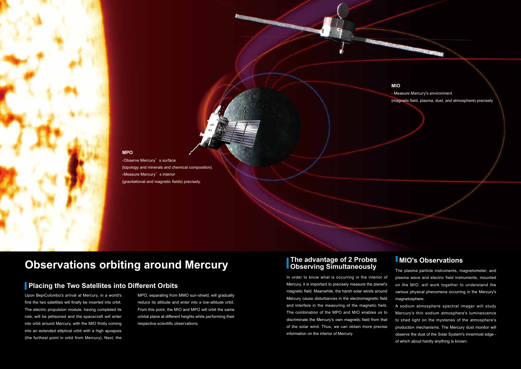Upon BepiColombo's arrival at Mercury, in a world's first the two satellites will finally be inserted into orbit. The electric propulsion module, having completed its role, will be jettisoned and the spacecraft will enter into orbit around Mercury, with the MIO firstly coming into an extended elliptical orbit with a high apoapsis (the furthest point in orbit from Mercury). Next, the

### **MIO's Observations**

The plasma particle instruments, magnetometer, and plasma wave and electric field instruments, mounted on the MIO, will work together to understand the various physical phenomena occurring in the Mercury's magnetosphere.

A sodium atmosphere spectral imager will study Mercury's thin sodium atmosphere's luminescence to shed light on the mysteries of the atmosphere's production mechanisms. The Mercury dust monitor will observe the dust of the Solar System's innermost edge of which about hardly anything is known.

-Observe Mercury's surface (topology and minerals and chemical composition). -Measure Mercury's interior (gravitational and magnetic fields) precisely.

#### **The advantage of 2 Probes Observing Simultaneously**

In order to know what is occurring in the interior of Mercury, it is important to precisely measure the planet's magnetic field. Meanwhile, the harsh solar winds around Mercury cause disturbances in the electromagnetic field and interfere in the measuring of the magnetic field. The combination of the MPO and MIO enables us to discriminate the Mercury's own magnetic field from that of the solar wind. Thus, we can obtain more precise information on the interior of Mercury.

#### **MIO**

- Measure Mercury's environment (magnetic field, plasma, dust, and atmosphere) precisely

#### **MPO**

## **Observations orbiting around Mercury**

### **Placing the Two Satellites into Different Orbits**

MPO, separating from MMO sun-shield, will gradually reduce its altitude and enter into a low-altitude orbit. From this point, the MIO and MPO will orbit the same orbital plane at different heights while performing their respective scientific observations.